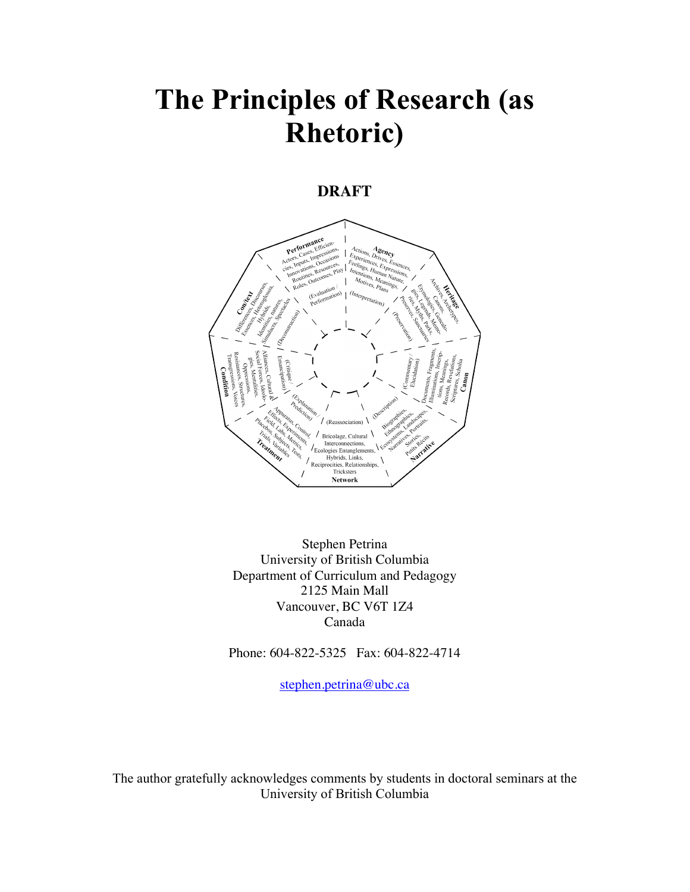# **The Principles of Research (as Rhetoric)**

## **DRAFT**



Stephen Petrina University of British Columbia Department of Curriculum and Pedagogy 2125 Main Mall Vancouver, BC V6T 1Z4 Canada

Phone: 604-822-5325 Fax: 604-822-4714

stephen.petrina@ubc.ca

The author gratefully acknowledges comments by students in doctoral seminars at the University of British Columbia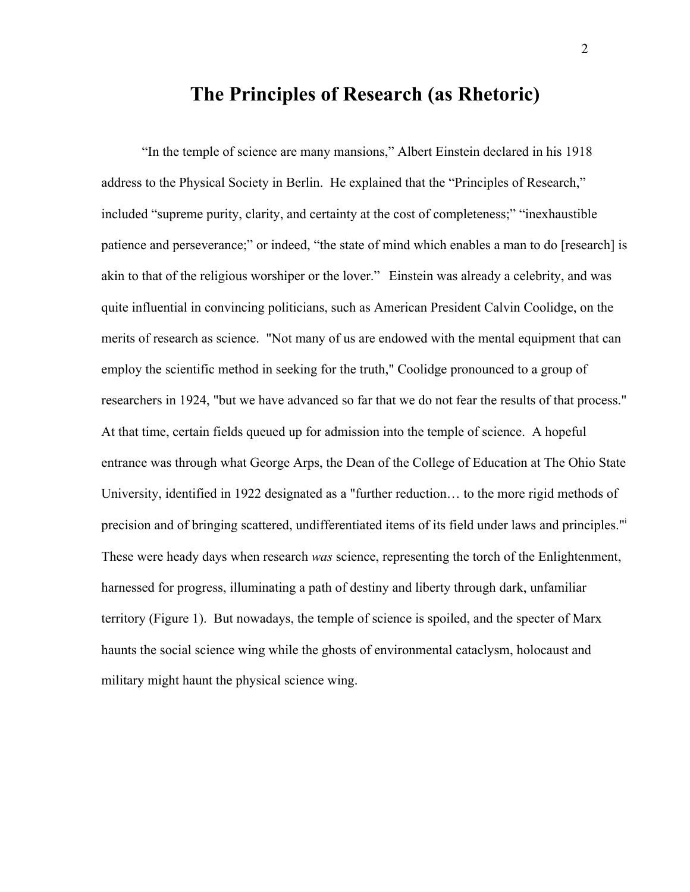# **The Principles of Research (as Rhetoric)**

"In the temple of science are many mansions," Albert Einstein declared in his 1918 address to the Physical Society in Berlin. He explained that the "Principles of Research," included "supreme purity, clarity, and certainty at the cost of completeness;" "inexhaustible patience and perseverance;" or indeed, "the state of mind which enables a man to do [research] is akin to that of the religious worshiper or the lover." Einstein was already a celebrity, and was quite influential in convincing politicians, such as American President Calvin Coolidge, on the merits of research as science. "Not many of us are endowed with the mental equipment that can employ the scientific method in seeking for the truth," Coolidge pronounced to a group of researchers in 1924, "but we have advanced so far that we do not fear the results of that process." At that time, certain fields queued up for admission into the temple of science. A hopeful entrance was through what George Arps, the Dean of the College of Education at The Ohio State University, identified in 1922 designated as a "further reduction… to the more rigid methods of precision and of bringing scattered, undifferentiated items of its field under laws and principles."<sup>i</sup> These were heady days when research *was* science, representing the torch of the Enlightenment, harnessed for progress, illuminating a path of destiny and liberty through dark, unfamiliar territory (Figure 1). But nowadays, the temple of science is spoiled, and the specter of Marx haunts the social science wing while the ghosts of environmental cataclysm, holocaust and military might haunt the physical science wing.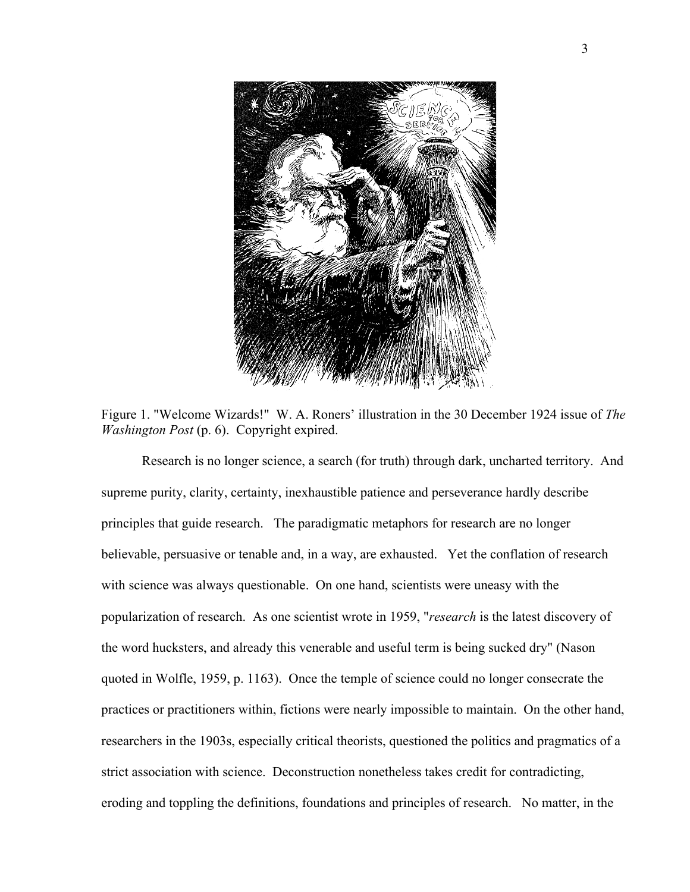

Figure 1. "Welcome Wizards!" W. A. Roners' illustration in the 30 December 1924 issue of *The Washington Post* (p. 6). Copyright expired.

Research is no longer science, a search (for truth) through dark, uncharted territory. And supreme purity, clarity, certainty, inexhaustible patience and perseverance hardly describe principles that guide research. The paradigmatic metaphors for research are no longer believable, persuasive or tenable and, in a way, are exhausted. Yet the conflation of research with science was always questionable. On one hand, scientists were uneasy with the popularization of research. As one scientist wrote in 1959, "*research* is the latest discovery of the word hucksters, and already this venerable and useful term is being sucked dry" (Nason quoted in Wolfle, 1959, p. 1163). Once the temple of science could no longer consecrate the practices or practitioners within, fictions were nearly impossible to maintain. On the other hand, researchers in the 1903s, especially critical theorists, questioned the politics and pragmatics of a strict association with science. Deconstruction nonetheless takes credit for contradicting, eroding and toppling the definitions, foundations and principles of research. No matter, in the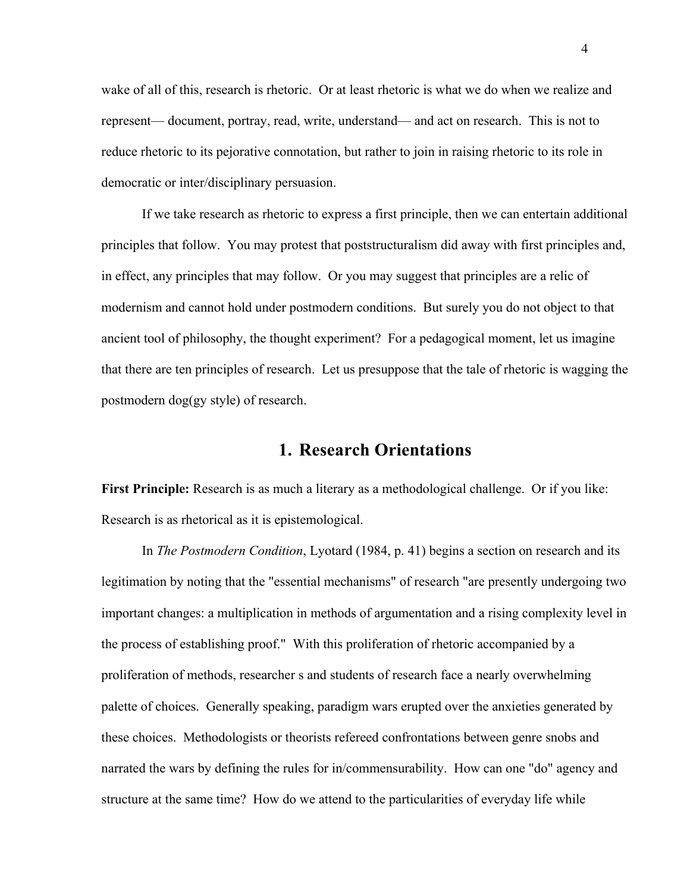wake of all of this, research is rhetoric. Or at least rhetoric is what we do when we realize and represent— document, portray, read, write, understand— and act on research. This is not to reduce rhetoric to its pejorative connotation, but rather to join in raising rhetoric to its role in democratic or inter/disciplinary persuasion.

If we take research as rhetoric to express a first principle, then we can entertain additional principles that follow. You may protest that poststructuralism did away with first principles and, in effect, any principles that may follow. Or you may suggest that principles are a relic of modernism and cannot hold under postmodern conditions. But surely you do not object to that ancient tool of philosophy, the thought experiment? For a pedagogical moment, let us imagine that there are ten principles of research. Let us presuppose that the tale of rhetoric is wagging the postmodern dog(gy style) of research.

## **1. Research Orientations**

**First Principle:** Research is as much a literary as a methodological challenge. Or if you like: Research is as rhetorical as it is epistemological.

In *The Postmodern Condition*, Lyotard (1984, p. 41) begins a section on research and its legitimation by noting that the "essential mechanisms" of research "are presently undergoing two important changes: a multiplication in methods of argumentation and a rising complexity level in the process of establishing proof." With this proliferation of rhetoric accompanied by a proliferation of methods, researcher s and students of research face a nearly overwhelming palette of choices. Generally speaking, paradigm wars erupted over the anxieties generated by these choices. Methodologists or theorists refereed confrontations between genre snobs and narrated the wars by defining the rules for in/commensurability. How can one "do" agency and structure at the same time? How do we attend to the particularities of everyday life while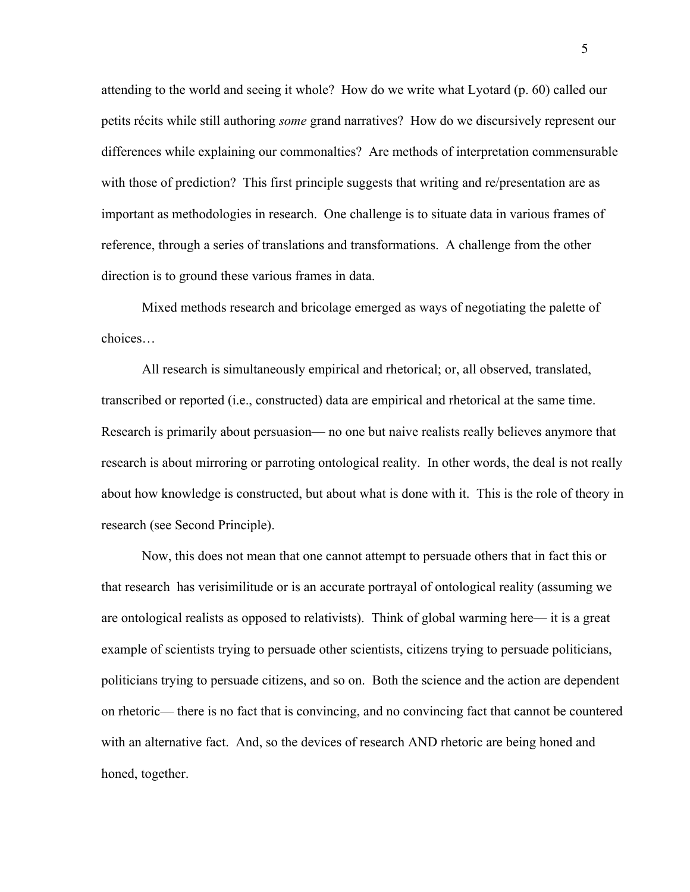attending to the world and seeing it whole? How do we write what Lyotard (p. 60) called our petits récits while still authoring *some* grand narratives? How do we discursively represent our differences while explaining our commonalties? Are methods of interpretation commensurable with those of prediction? This first principle suggests that writing and re/presentation are as important as methodologies in research. One challenge is to situate data in various frames of reference, through a series of translations and transformations. A challenge from the other direction is to ground these various frames in data.

Mixed methods research and bricolage emerged as ways of negotiating the palette of choices…

All research is simultaneously empirical and rhetorical; or, all observed, translated, transcribed or reported (i.e., constructed) data are empirical and rhetorical at the same time. Research is primarily about persuasion— no one but naive realists really believes anymore that research is about mirroring or parroting ontological reality. In other words, the deal is not really about how knowledge is constructed, but about what is done with it. This is the role of theory in research (see Second Principle).

Now, this does not mean that one cannot attempt to persuade others that in fact this or that research has verisimilitude or is an accurate portrayal of ontological reality (assuming we are ontological realists as opposed to relativists). Think of global warming here— it is a great example of scientists trying to persuade other scientists, citizens trying to persuade politicians, politicians trying to persuade citizens, and so on. Both the science and the action are dependent on rhetoric— there is no fact that is convincing, and no convincing fact that cannot be countered with an alternative fact. And, so the devices of research AND rhetoric are being honed and honed, together.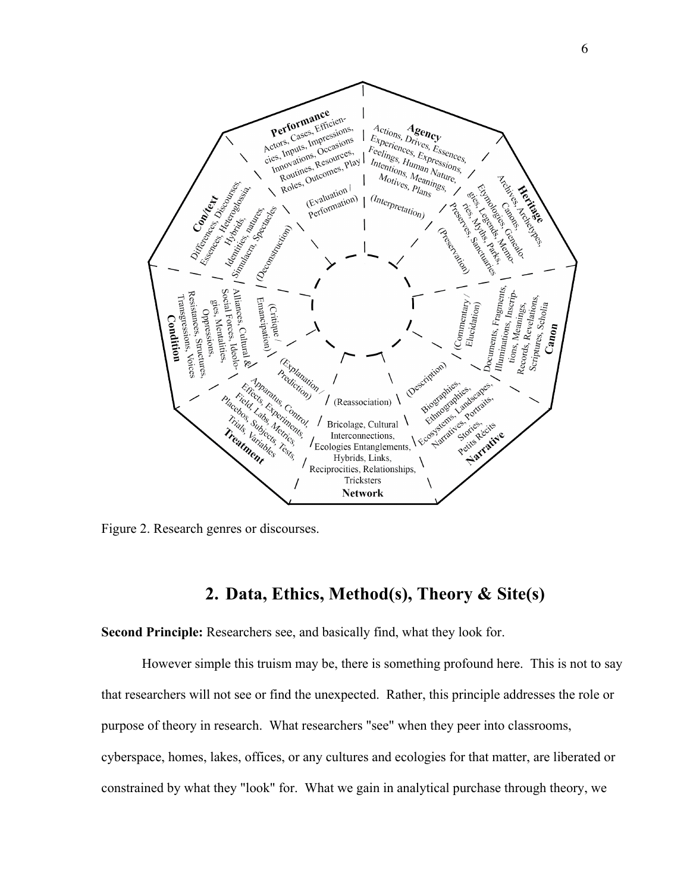

Figure 2. Research genres or discourses.

## **2. Data, Ethics, Method(s), Theory & Site(s)**

**Second Principle:** Researchers see, and basically find, what they look for.

However simple this truism may be, there is something profound here. This is not to say that researchers will not see or find the unexpected. Rather, this principle addresses the role or purpose of theory in research. What researchers "see" when they peer into classrooms, cyberspace, homes, lakes, offices, or any cultures and ecologies for that matter, are liberated or constrained by what they "look" for. What we gain in analytical purchase through theory, we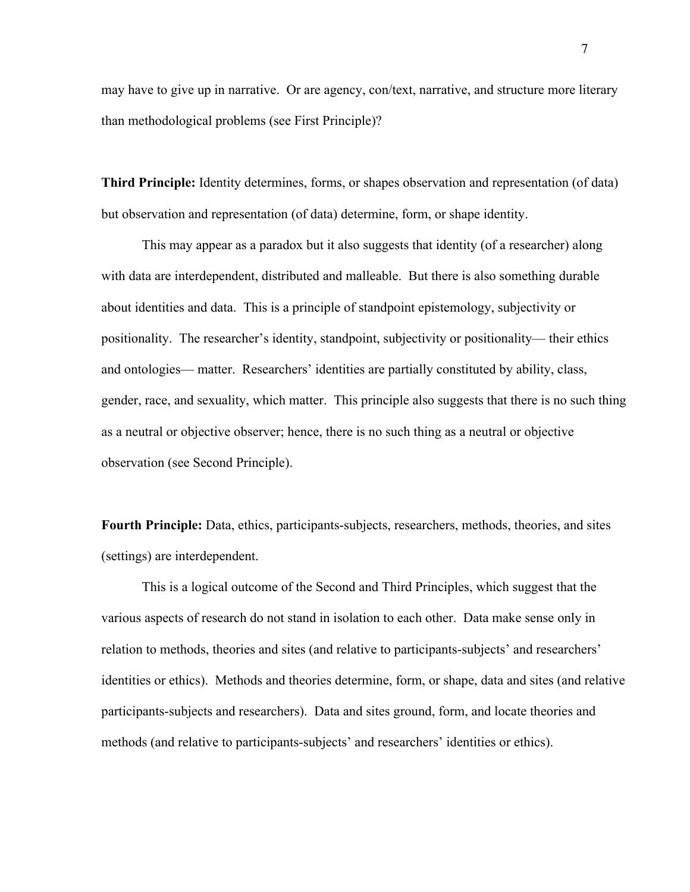may have to give up in narrative. Or are agency, con/text, narrative, and structure more literary than methodological problems (see First Principle)?

**Third Principle:** Identity determines, forms, or shapes observation and representation (of data) but observation and representation (of data) determine, form, or shape identity.

This may appear as a paradox but it also suggests that identity (of a researcher) along with data are interdependent, distributed and malleable. But there is also something durable about identities and data. This is a principle of standpoint epistemology, subjectivity or positionality. The researcher's identity, standpoint, subjectivity or positionality— their ethics and ontologies— matter. Researchers' identities are partially constituted by ability, class, gender, race, and sexuality, which matter. This principle also suggests that there is no such thing as a neutral or objective observer; hence, there is no such thing as a neutral or objective observation (see Second Principle).

**Fourth Principle:** Data, ethics, participants-subjects, researchers, methods, theories, and sites (settings) are interdependent.

This is a logical outcome of the Second and Third Principles, which suggest that the various aspects of research do not stand in isolation to each other. Data make sense only in relation to methods, theories and sites (and relative to participants-subjects' and researchers' identities or ethics). Methods and theories determine, form, or shape, data and sites (and relative participants-subjects and researchers). Data and sites ground, form, and locate theories and methods (and relative to participants-subjects' and researchers' identities or ethics).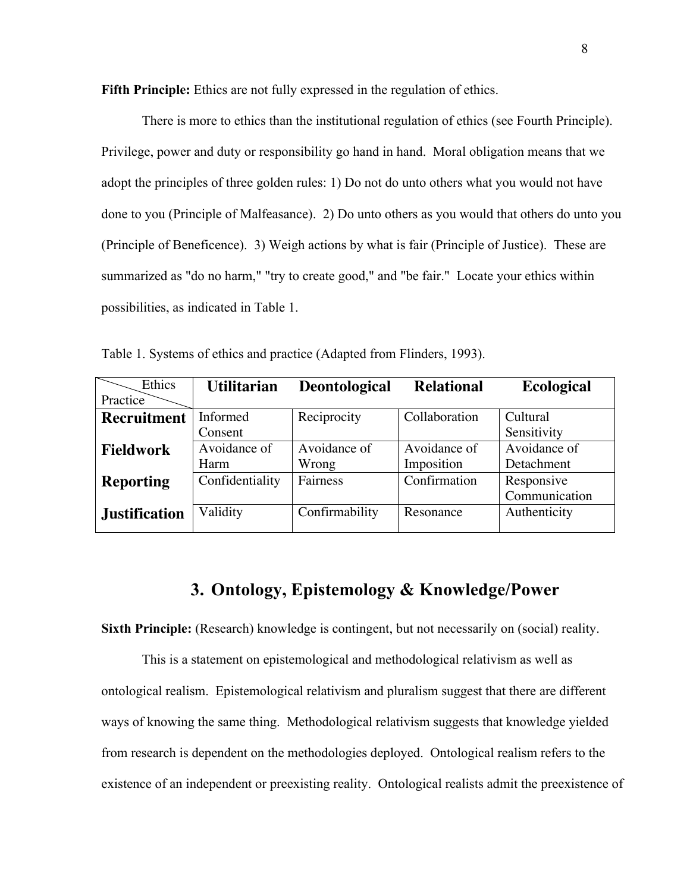**Fifth Principle:** Ethics are not fully expressed in the regulation of ethics.

There is more to ethics than the institutional regulation of ethics (see Fourth Principle). Privilege, power and duty or responsibility go hand in hand. Moral obligation means that we adopt the principles of three golden rules: 1) Do not do unto others what you would not have done to you (Principle of Malfeasance). 2) Do unto others as you would that others do unto you (Principle of Beneficence). 3) Weigh actions by what is fair (Principle of Justice). These are summarized as "do no harm," "try to create good," and "be fair." Locate your ethics within possibilities, as indicated in Table 1.

| Ethics               | <b>Utilitarian</b> | <b>Deontological</b> | <b>Relational</b> | <b>Ecological</b> |
|----------------------|--------------------|----------------------|-------------------|-------------------|
| Practice             |                    |                      |                   |                   |
| <b>Recruitment</b>   | Informed           | Reciprocity          | Collaboration     | Cultural          |
|                      | Consent            |                      |                   | Sensitivity       |
| <b>Fieldwork</b>     | Avoidance of       | Avoidance of         | Avoidance of      | Avoidance of      |
|                      | Harm               | Wrong                | Imposition        | Detachment        |
| <b>Reporting</b>     | Confidentiality    | Fairness             | Confirmation      | Responsive        |
|                      |                    |                      |                   | Communication     |
| <b>Justification</b> | Validity           | Confirmability       | Resonance         | Authenticity      |
|                      |                    |                      |                   |                   |

Table 1. Systems of ethics and practice (Adapted from Flinders, 1993).

# **3. Ontology, Epistemology & Knowledge/Power**

**Sixth Principle:** (Research) knowledge is contingent, but not necessarily on (social) reality.

This is a statement on epistemological and methodological relativism as well as ontological realism. Epistemological relativism and pluralism suggest that there are different ways of knowing the same thing. Methodological relativism suggests that knowledge yielded from research is dependent on the methodologies deployed. Ontological realism refers to the existence of an independent or preexisting reality. Ontological realists admit the preexistence of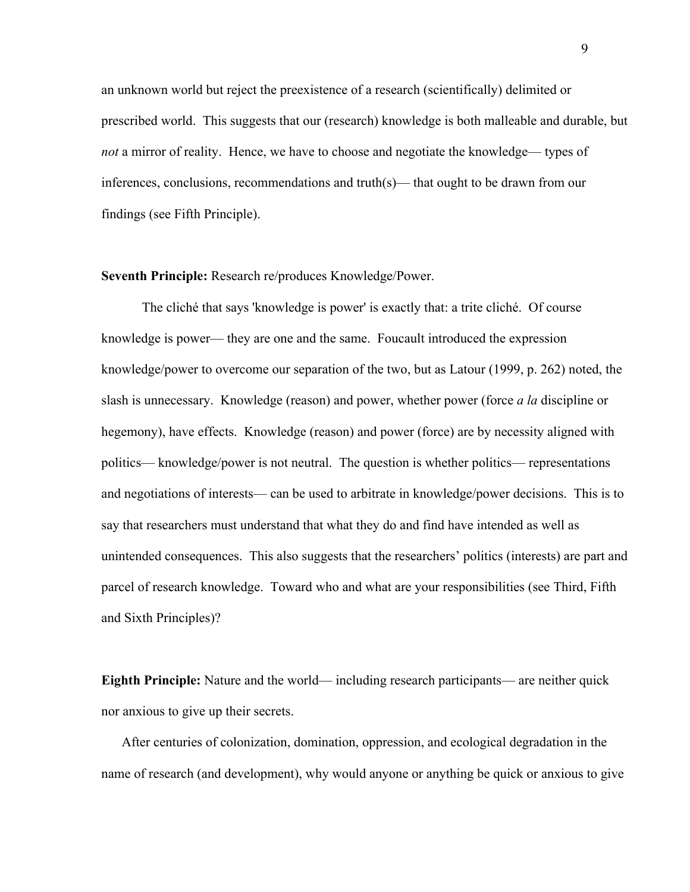an unknown world but reject the preexistence of a research (scientifically) delimited or prescribed world. This suggests that our (research) knowledge is both malleable and durable, but *not* a mirror of reality. Hence, we have to choose and negotiate the knowledge— types of inferences, conclusions, recommendations and truth(s)— that ought to be drawn from our findings (see Fifth Principle).

#### **Seventh Principle:** Research re/produces Knowledge/Power.

The cliché that says 'knowledge is power' is exactly that: a trite cliché. Of course knowledge is power— they are one and the same. Foucault introduced the expression knowledge/power to overcome our separation of the two, but as Latour (1999, p. 262) noted, the slash is unnecessary. Knowledge (reason) and power, whether power (force *a la* discipline or hegemony), have effects. Knowledge (reason) and power (force) are by necessity aligned with politics— knowledge/power is not neutral. The question is whether politics— representations and negotiations of interests— can be used to arbitrate in knowledge/power decisions. This is to say that researchers must understand that what they do and find have intended as well as unintended consequences. This also suggests that the researchers' politics (interests) are part and parcel of research knowledge. Toward who and what are your responsibilities (see Third, Fifth and Sixth Principles)?

**Eighth Principle:** Nature and the world— including research participants— are neither quick nor anxious to give up their secrets.

After centuries of colonization, domination, oppression, and ecological degradation in the name of research (and development), why would anyone or anything be quick or anxious to give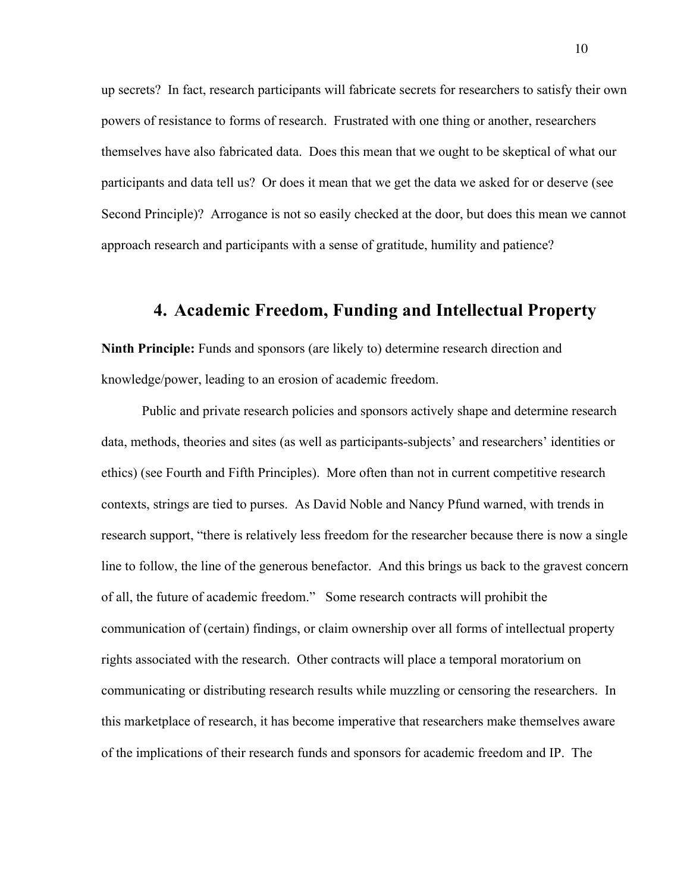up secrets? In fact, research participants will fabricate secrets for researchers to satisfy their own powers of resistance to forms of research. Frustrated with one thing or another, researchers themselves have also fabricated data. Does this mean that we ought to be skeptical of what our participants and data tell us? Or does it mean that we get the data we asked for or deserve (see Second Principle)? Arrogance is not so easily checked at the door, but does this mean we cannot approach research and participants with a sense of gratitude, humility and patience?

## **4. Academic Freedom, Funding and Intellectual Property**

**Ninth Principle:** Funds and sponsors (are likely to) determine research direction and knowledge/power, leading to an erosion of academic freedom.

Public and private research policies and sponsors actively shape and determine research data, methods, theories and sites (as well as participants-subjects' and researchers' identities or ethics) (see Fourth and Fifth Principles). More often than not in current competitive research contexts, strings are tied to purses. As David Noble and Nancy Pfund warned, with trends in research support, "there is relatively less freedom for the researcher because there is now a single line to follow, the line of the generous benefactor. And this brings us back to the gravest concern of all, the future of academic freedom." Some research contracts will prohibit the communication of (certain) findings, or claim ownership over all forms of intellectual property rights associated with the research. Other contracts will place a temporal moratorium on communicating or distributing research results while muzzling or censoring the researchers. In this marketplace of research, it has become imperative that researchers make themselves aware of the implications of their research funds and sponsors for academic freedom and IP. The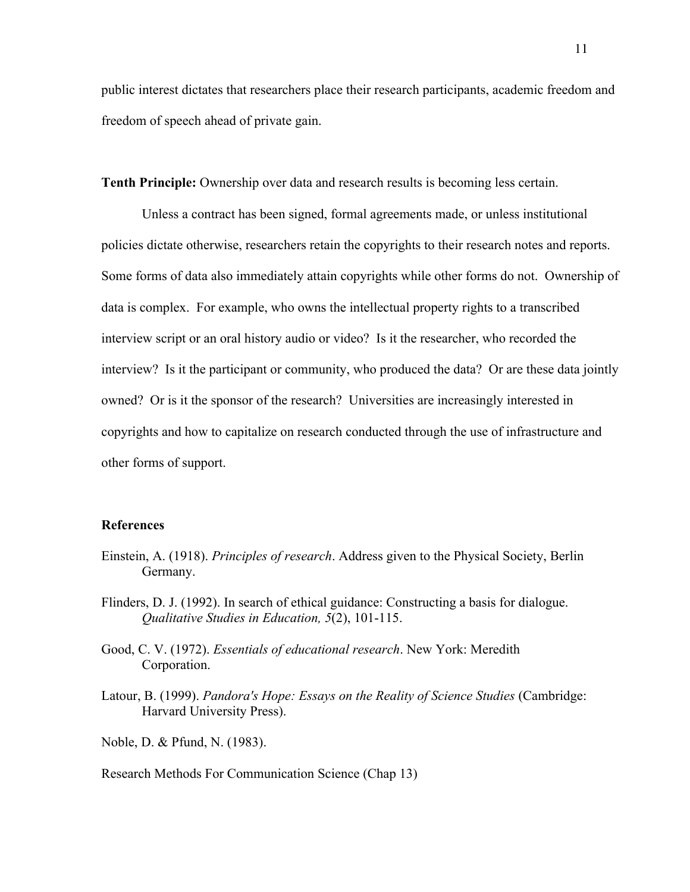public interest dictates that researchers place their research participants, academic freedom and freedom of speech ahead of private gain.

**Tenth Principle:** Ownership over data and research results is becoming less certain.

Unless a contract has been signed, formal agreements made, or unless institutional policies dictate otherwise, researchers retain the copyrights to their research notes and reports. Some forms of data also immediately attain copyrights while other forms do not. Ownership of data is complex. For example, who owns the intellectual property rights to a transcribed interview script or an oral history audio or video? Is it the researcher, who recorded the interview? Is it the participant or community, who produced the data? Or are these data jointly owned? Or is it the sponsor of the research? Universities are increasingly interested in copyrights and how to capitalize on research conducted through the use of infrastructure and other forms of support.

#### **References**

- Einstein, A. (1918). *Principles of research*. Address given to the Physical Society, Berlin Germany.
- Flinders, D. J. (1992). In search of ethical guidance: Constructing a basis for dialogue. *Qualitative Studies in Education, 5*(2), 101-115.
- Good, C. V. (1972). *Essentials of educational research*. New York: Meredith Corporation.
- Latour, B. (1999). *Pandora's Hope: Essays on the Reality of Science Studies* (Cambridge: Harvard University Press).

Noble, D. & Pfund, N. (1983).

#### Research Methods For Communication Science (Chap 13)